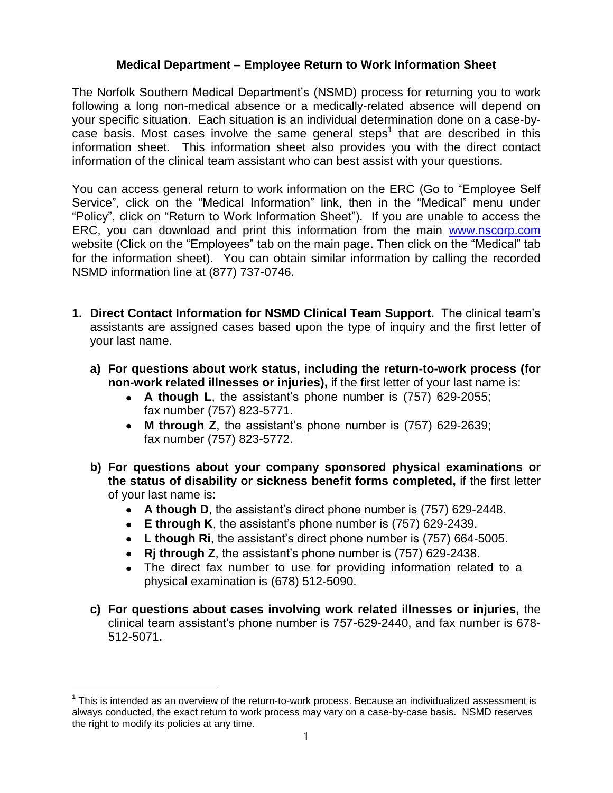# **Medical Department – Employee Return to Work Information Sheet**

The Norfolk Southern Medical Department's (NSMD) process for returning you to work following a long non-medical absence or a medically-related absence will depend on your specific situation. Each situation is an individual determination done on a case-bycase basis. Most cases involve the same general steps<sup>1</sup> that are described in this information sheet. This information sheet also provides you with the direct contact information of the clinical team assistant who can best assist with your questions.

You can access general return to work information on the ERC (Go to "Employee Self Service", click on the "Medical Information" link, then in the "Medical" menu under "Policy", click on "Return to Work Information Sheet"). If you are unable to access the ERC, you can download and print this information from the main [www.nscorp.com](http://www.nscorp.com/) website (Click on the "Employees" tab on the main page. Then click on the "Medical" tab for the information sheet). You can obtain similar information by calling the recorded NSMD information line at (877) 737-0746.

- **1. Direct Contact Information for NSMD Clinical Team Support.** The clinical team's assistants are assigned cases based upon the type of inquiry and the first letter of your last name.
	- **a) For questions about work status, including the return-to-work process (for non-work related illnesses or injuries),** if the first letter of your last name is:
		- **A though L**, the assistant's phone number is (757) 629-2055; fax number (757) 823-5771.
		- **M through Z**, the assistant's phone number is (757) 629-2639; fax number (757) 823-5772.
	- **b) For questions about your company sponsored physical examinations or the status of disability or sickness benefit forms completed,** if the first letter of your last name is:
		- **A though D**, the assistant's direct phone number is (757) 629-2448.
		- **E through K**, the assistant's phone number is (757) 629-2439.
		- **L though Ri**, the assistant's direct phone number is (757) 664-5005.
		- **Rj through Z**, the assistant's phone number is (757) 629-2438.
		- The direct fax number to use for providing information related to a physical examination is (678) 512-5090.
	- **c) For questions about cases involving work related illnesses or injuries,** the clinical team assistant's phone number is 757-629-2440, and fax number is 678- 512-5071**.**

 $\overline{a}$ 

 $1$  This is intended as an overview of the return-to-work process. Because an individualized assessment is always conducted, the exact return to work process may vary on a case-by-case basis. NSMD reserves the right to modify its policies at any time.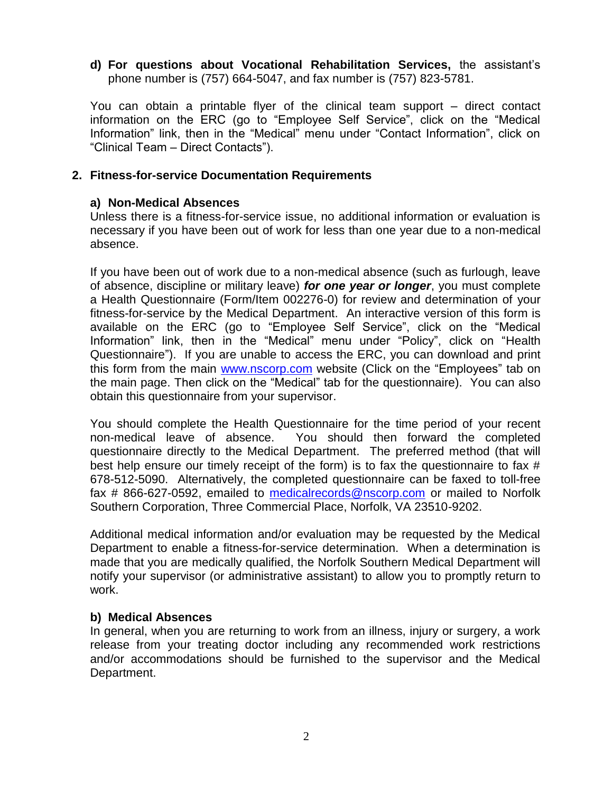**d) For questions about Vocational Rehabilitation Services,** the assistant's phone number is (757) 664-5047, and fax number is (757) 823-5781.

You can obtain a printable flyer of the clinical team support – direct contact information on the ERC (go to "Employee Self Service", click on the "Medical Information" link, then in the "Medical" menu under "Contact Information", click on "Clinical Team – Direct Contacts").

# **2. Fitness-for-service Documentation Requirements**

## **a) Non-Medical Absences**

Unless there is a fitness-for-service issue, no additional information or evaluation is necessary if you have been out of work for less than one year due to a non-medical absence.

If you have been out of work due to a non-medical absence (such as furlough, leave of absence, discipline or military leave) *for one year or longer*, you must complete a Health Questionnaire (Form/Item 002276-0) for review and determination of your fitness-for-service by the Medical Department. An interactive version of this form is available on the ERC (go to "Employee Self Service", click on the "Medical Information" link, then in the "Medical" menu under "Policy", click on "Health Questionnaire"). If you are unable to access the ERC, you can download and print this form from the main [www.nscorp.com](http://www.nscorp.com/) website (Click on the "Employees" tab on the main page. Then click on the "Medical" tab for the questionnaire). You can also obtain this questionnaire from your supervisor.

You should complete the Health Questionnaire for the time period of your recent non-medical leave of absence. You should then forward the completed questionnaire directly to the Medical Department. The preferred method (that will best help ensure our timely receipt of the form) is to fax the questionnaire to fax # 678-512-5090. Alternatively, the completed questionnaire can be faxed to toll-free fax # 866-627-0592, emailed to [medicalrecords@nscorp.com](mailto:medicalrecords@nscorp.com) or mailed to Norfolk Southern Corporation, Three Commercial Place, Norfolk, VA 23510-9202.

Additional medical information and/or evaluation may be requested by the Medical Department to enable a fitness-for-service determination. When a determination is made that you are medically qualified, the Norfolk Southern Medical Department will notify your supervisor (or administrative assistant) to allow you to promptly return to work.

#### **b) Medical Absences**

In general, when you are returning to work from an illness, injury or surgery, a work release from your treating doctor including any recommended work restrictions and/or accommodations should be furnished to the supervisor and the Medical Department.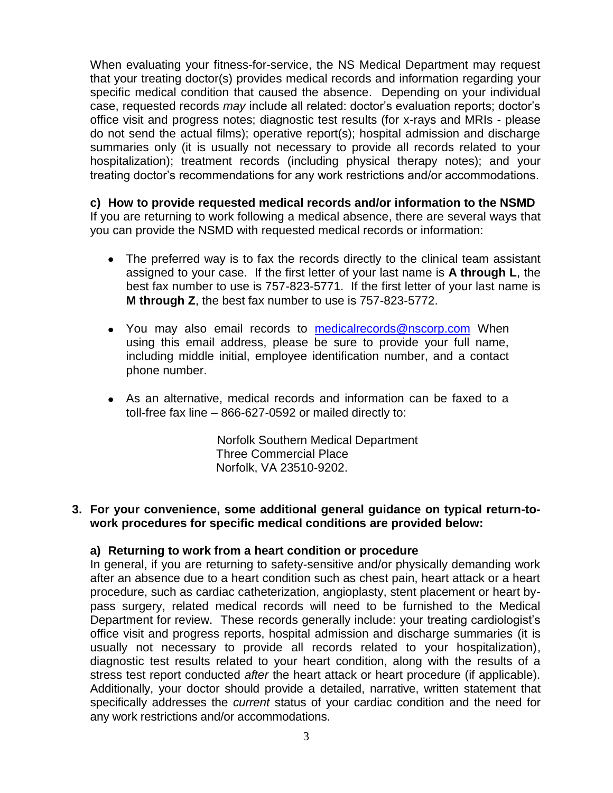When evaluating your fitness-for-service, the NS Medical Department may request that your treating doctor(s) provides medical records and information regarding your specific medical condition that caused the absence. Depending on your individual case, requested records *may* include all related: doctor's evaluation reports; doctor's office visit and progress notes; diagnostic test results (for x-rays and MRIs - please do not send the actual films); operative report(s); hospital admission and discharge summaries only (it is usually not necessary to provide all records related to your hospitalization); treatment records (including physical therapy notes); and your treating doctor's recommendations for any work restrictions and/or accommodations.

**c) How to provide requested medical records and/or information to the NSMD** If you are returning to work following a medical absence, there are several ways that you can provide the NSMD with requested medical records or information:

- The preferred way is to fax the records directly to the clinical team assistant assigned to your case. If the first letter of your last name is **A through L**, the best fax number to use is 757-823-5771. If the first letter of your last name is **M through Z**, the best fax number to use is 757-823-5772.
- You may also email records to [medicalrecords@nscorp.com](mailto:medicalrecords@nscorp.com) When using this email address, please be sure to provide your full name, including middle initial, employee identification number, and a contact phone number.
- As an alternative, medical records and information can be faxed to a toll-free fax line – 866-627-0592 or mailed directly to:

Norfolk Southern Medical Department Three Commercial Place Norfolk, VA 23510-9202.

## **3. For your convenience, some additional general guidance on typical return-towork procedures for specific medical conditions are provided below:**

# **a) Returning to work from a heart condition or procedure**

In general, if you are returning to safety-sensitive and/or physically demanding work after an absence due to a heart condition such as chest pain, heart attack or a heart procedure, such as cardiac catheterization, angioplasty, stent placement or heart bypass surgery, related medical records will need to be furnished to the Medical Department for review. These records generally include: your treating cardiologist's office visit and progress reports, hospital admission and discharge summaries (it is usually not necessary to provide all records related to your hospitalization), diagnostic test results related to your heart condition, along with the results of a stress test report conducted *after* the heart attack or heart procedure (if applicable). Additionally, your doctor should provide a detailed, narrative, written statement that specifically addresses the *current* status of your cardiac condition and the need for any work restrictions and/or accommodations.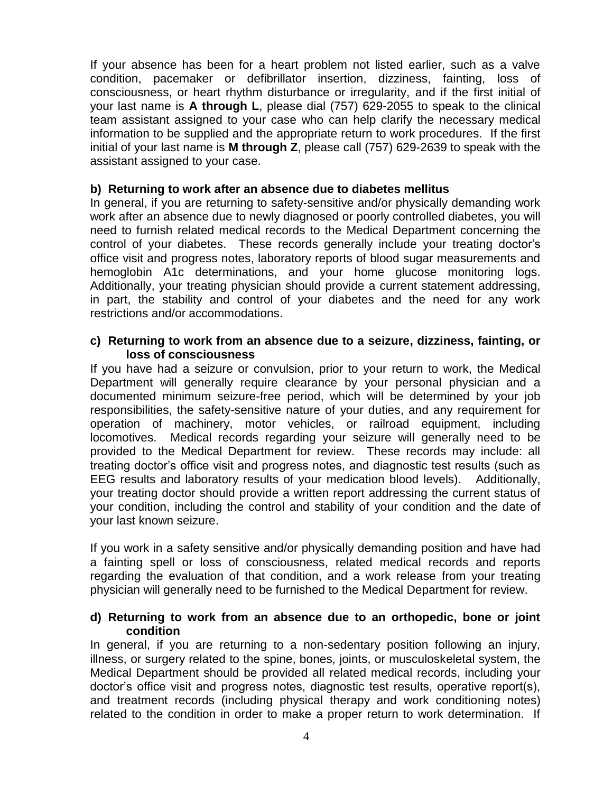If your absence has been for a heart problem not listed earlier, such as a valve condition, pacemaker or defibrillator insertion, dizziness, fainting, loss of consciousness, or heart rhythm disturbance or irregularity, and if the first initial of your last name is **A through L**, please dial (757) 629-2055 to speak to the clinical team assistant assigned to your case who can help clarify the necessary medical information to be supplied and the appropriate return to work procedures. If the first initial of your last name is **M through Z**, please call (757) 629-2639 to speak with the assistant assigned to your case.

# **b) Returning to work after an absence due to diabetes mellitus**

In general, if you are returning to safety-sensitive and/or physically demanding work work after an absence due to newly diagnosed or poorly controlled diabetes, you will need to furnish related medical records to the Medical Department concerning the control of your diabetes. These records generally include your treating doctor's office visit and progress notes, laboratory reports of blood sugar measurements and hemoglobin A1c determinations, and your home glucose monitoring logs. Additionally, your treating physician should provide a current statement addressing, in part, the stability and control of your diabetes and the need for any work restrictions and/or accommodations.

#### **c) Returning to work from an absence due to a seizure, dizziness, fainting, or loss of consciousness**

If you have had a seizure or convulsion, prior to your return to work, the Medical Department will generally require clearance by your personal physician and a documented minimum seizure-free period, which will be determined by your job responsibilities, the safety-sensitive nature of your duties, and any requirement for operation of machinery, motor vehicles, or railroad equipment, including locomotives. Medical records regarding your seizure will generally need to be provided to the Medical Department for review. These records may include: all treating doctor's office visit and progress notes, and diagnostic test results (such as EEG results and laboratory results of your medication blood levels). Additionally, your treating doctor should provide a written report addressing the current status of your condition, including the control and stability of your condition and the date of your last known seizure.

If you work in a safety sensitive and/or physically demanding position and have had a fainting spell or loss of consciousness, related medical records and reports regarding the evaluation of that condition, and a work release from your treating physician will generally need to be furnished to the Medical Department for review.

### **d) Returning to work from an absence due to an orthopedic, bone or joint condition**

In general, if you are returning to a non-sedentary position following an injury, illness, or surgery related to the spine, bones, joints, or musculoskeletal system, the Medical Department should be provided all related medical records, including your doctor's office visit and progress notes, diagnostic test results, operative report(s), and treatment records (including physical therapy and work conditioning notes) related to the condition in order to make a proper return to work determination. If